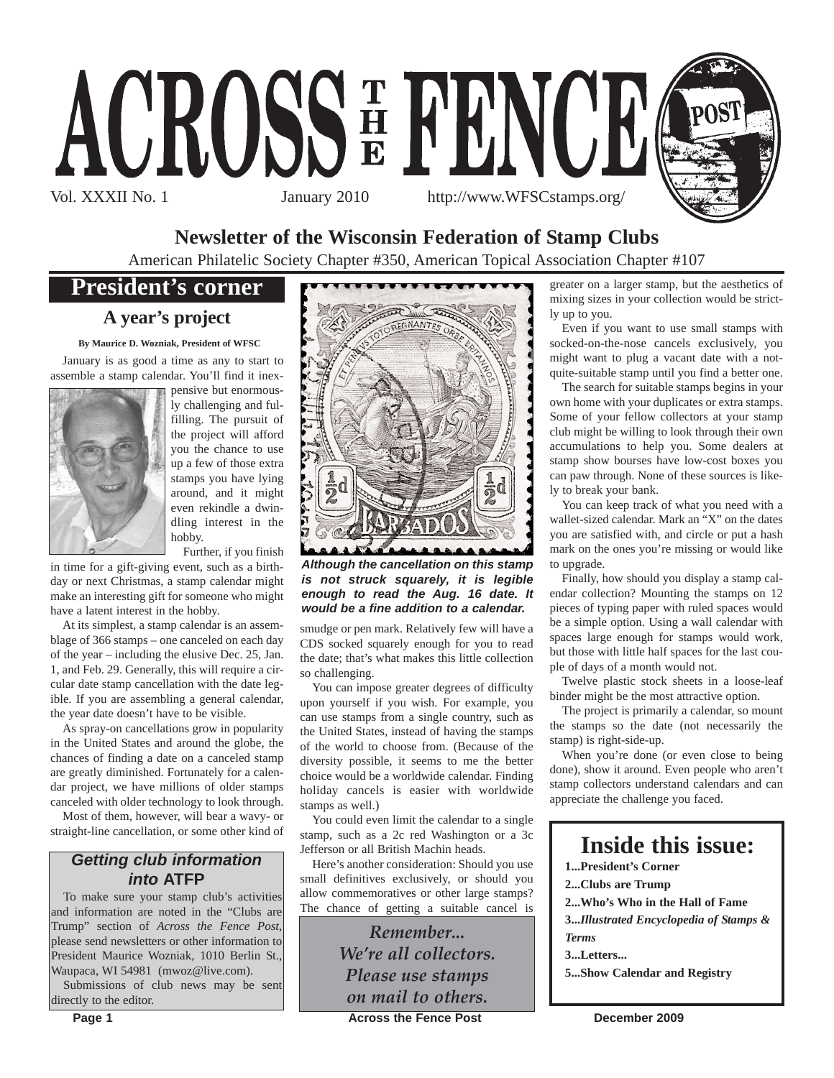

# **Newsletter of the Wisconsin Federation of Stamp Clubs**

American Philatelic Society Chapter #350, American Topical Association Chapter #107

# **President's corner**

# **A year's project**

**By Maurice D. Wozniak, President of WFSC**

January is as good a time as any to start to assemble a stamp calendar. You'll find it inex-



pensive but enormously challenging and fulfilling. The pursuit of the project will afford you the chance to use up a few of those extra stamps you have lying around, and it might even rekindle a dwindling interest in the hobby.

Further, if you finish in time for a gift-giving event, such as a birthday or next Christmas, a stamp calendar might make an interesting gift for someone who might have a latent interest in the hobby.

At its simplest, a stamp calendar is an assemblage of 366 stamps – one canceled on each day of the year – including the elusive Dec. 25, Jan. 1, and Feb. 29. Generally, this will require a circular date stamp cancellation with the date legible. If you are assembling a general calendar, the year date doesn't have to be visible.

As spray-on cancellations grow in popularity in the United States and around the globe, the chances of finding a date on a canceled stamp are greatly diminished. Fortunately for a calendar project, we have millions of older stamps canceled with older technology to look through.

Most of them, however, will bear a wavy- or straight-line cancellation, or some other kind of

# *Getting club information into* **ATFP**

To make sure your stamp club's activities and information are noted in the "Clubs are Trump" section of *Across the Fence Post*, please send newsletters or other information to President Maurice Wozniak, 1010 Berlin St., Waupaca, WI 54981 (mwoz@live.com).

Submissions of club news may be sent directly to the editor.



*Although the cancellation on this stamp is not struck squarely, it is legible enough to read the Aug. 16 date. It would be a fine addition to a calendar.*

smudge or pen mark. Relatively few will have a CDS socked squarely enough for you to read the date; that's what makes this little collection so challenging.

You can impose greater degrees of difficulty upon yourself if you wish. For example, you can use stamps from a single country, such as the United States, instead of having the stamps of the world to choose from. (Because of the diversity possible, it seems to me the better choice would be a worldwide calendar. Finding holiday cancels is easier with worldwide stamps as well.)

You could even limit the calendar to a single stamp, such as a 2c red Washington or a 3c Jefferson or all British Machin heads.

Here's another consideration: Should you use small definitives exclusively, or should you allow commemoratives or other large stamps? The chance of getting a suitable cancel is

> *Remember... We're all collectors. Please use stamps on mail to others.*

greater on a larger stamp, but the aesthetics of mixing sizes in your collection would be strictly up to you.

Even if you want to use small stamps with socked-on-the-nose cancels exclusively, you might want to plug a vacant date with a notquite-suitable stamp until you find a better one.

The search for suitable stamps begins in your own home with your duplicates or extra stamps. Some of your fellow collectors at your stamp club might be willing to look through their own accumulations to help you. Some dealers at stamp show bourses have low-cost boxes you can paw through. None of these sources is likely to break your bank.

You can keep track of what you need with a wallet-sized calendar. Mark an "X" on the dates you are satisfied with, and circle or put a hash mark on the ones you're missing or would like to upgrade.

Finally, how should you display a stamp calendar collection? Mounting the stamps on 12 pieces of typing paper with ruled spaces would be a simple option. Using a wall calendar with spaces large enough for stamps would work, but those with little half spaces for the last couple of days of a month would not.

Twelve plastic stock sheets in a loose-leaf binder might be the most attractive option.

The project is primarily a calendar, so mount the stamps so the date (not necessarily the stamp) is right-side-up.

When you're done (or even close to being done), show it around. Even people who aren't stamp collectors understand calendars and can appreciate the challenge you faced.

# **Inside this issue:**

**1...President's Corner 2...Clubs are Trump 2...Who's Who in the Hall of Fame 3...***Illustrated Encyclopedia of Stamps & Terms* **3...Letters...**

**5...Show Calendar and Registry**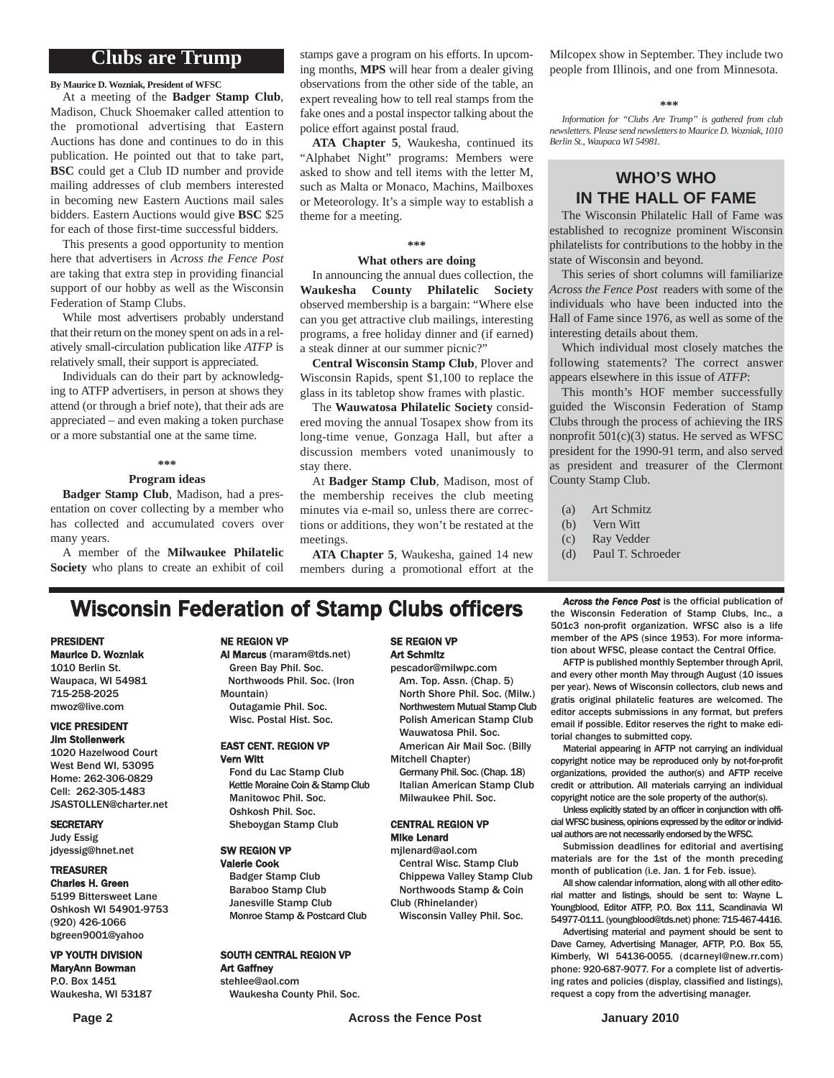# **Clubs are Trump**

**By Maurice D. Wozniak, President of WFSC**

At a meeting of the **Badger Stamp Club**, Madison, Chuck Shoemaker called attention to the promotional advertising that Eastern Auctions has done and continues to do in this publication. He pointed out that to take part, **BSC** could get a Club ID number and provide mailing addresses of club members interested in becoming new Eastern Auctions mail sales bidders. Eastern Auctions would give **BSC** \$25 for each of those first-time successful bidders.

This presents a good opportunity to mention here that advertisers in *Across the Fence Post* are taking that extra step in providing financial support of our hobby as well as the Wisconsin Federation of Stamp Clubs.

While most advertisers probably understand that their return on the money spent on ads in a relatively small-circulation publication like *ATFP* is relatively small, their support is appreciated.

Individuals can do their part by acknowledging to ATFP advertisers, in person at shows they attend (or through a brief note), that their ads are appreciated – and even making a token purchase or a more substantial one at the same time.

#### **\*\*\***

#### **Program ideas**

**Badger Stamp Club**, Madison, had a presentation on cover collecting by a member who has collected and accumulated covers over many years.

A member of the **Milwaukee Philatelic Society** who plans to create an exhibit of coil stamps gave a program on his efforts. In upcoming months, **MPS** will hear from a dealer giving observations from the other side of the table, an expert revealing how to tell real stamps from the fake ones and a postal inspector talking about the police effort against postal fraud.

**ATA Chapter 5**, Waukesha, continued its "Alphabet Night" programs: Members were asked to show and tell items with the letter M, such as Malta or Monaco, Machins, Mailboxes or Meteorology. It's a simple way to establish a theme for a meeting.

#### **\*\*\***

#### **What others are doing**

In announcing the annual dues collection, the **Waukesha County Philatelic Society** observed membership is a bargain: "Where else can you get attractive club mailings, interesting programs, a free holiday dinner and (if earned) a steak dinner at our summer picnic?"

**Central Wisconsin Stamp Club**, Plover and Wisconsin Rapids, spent \$1,100 to replace the glass in its tabletop show frames with plastic.

The **Wauwatosa Philatelic Society** considered moving the annual Tosapex show from its long-time venue, Gonzaga Hall, but after a discussion members voted unanimously to stay there.

At **Badger Stamp Club**, Madison, most of the membership receives the club meeting minutes via e-mail so, unless there are corrections or additions, they won't be restated at the meetings.

**ATA Chapter 5**, Waukesha, gained 14 new members during a promotional effort at the Milcopex show in September. They include two people from Illinois, and one from Minnesota.

#### **\*\*\***

*Information for "Clubs Are Trump" is gathered from club newsletters. Please send newsletters to Maurice D. Wozniak, 1010 Berlin St., Waupaca WI 54981.*

## **WHO'S WHO IN THE HALL OF FAME**

The Wisconsin Philatelic Hall of Fame was established to recognize prominent Wisconsin philatelists for contributions to the hobby in the state of Wisconsin and beyond.

This series of short columns will familiarize *Across the Fence Post* readers with some of the individuals who have been inducted into the Hall of Fame since 1976, as well as some of the interesting details about them.

Which individual most closely matches the following statements? The correct answer appears elsewhere in this issue of *ATFP*:

This month's HOF member successfully guided the Wisconsin Federation of Stamp Clubs through the process of achieving the IRS nonprofit 501(c)(3) status. He served as WFSC president for the 1990-91 term, and also served as president and treasurer of the Clermont County Stamp Club.

- (a) Art Schmitz
- (b) Vern Witt
- (c) Ray Vedder
- (d) Paul T. Schroeder

# **Wisconsin Federation of Stamp Clubs officers** *Across the Fence Post* is the official publication of stamp Clubs, Inc., a

#### PRESIDENT Maurice D. Wozniak

1010 Berlin St. Waupaca, WI 54981 715-258-2025 mwoz@live.com

#### VICE PRESIDENT Jim Stollenwerk

1020 Hazelwood Court West Bend WI, 53095 Home: 262-306-0829 Cell: 262-305-1483 JSASTOLLEN@charter.net

#### **SECRETARY**

Judy Essig jdyessig@hnet.net

#### TREASURER

Charles H. Green 5199 Bittersweet Lane Oshkosh WI 54901-9753 (920) 426-1066 bgreen9001@yahoo

#### VP YOUTH DIVISION

MaryAnn Bowman P.O. Box 1451 Waukesha, WI 53187

#### NE REGION VP

Al Marcus (maram@tds.net) Green Bay Phil. Soc. Northwoods Phil. Soc. (Iron Mountain) Outagamie Phil. Soc. Wisc. Postal Hist. Soc.

#### EAST CENT. REGION VP Vern Witt

Fond du Lac Stamp Club Kettle Moraine Coin & Stamp Club Manitowoc Phil. Soc. Oshkosh Phil. Soc. Sheboygan Stamp Club

#### SW REGION VP

Valerie Cook Badger Stamp Club Baraboo Stamp Club Janesville Stamp Club Monroe Stamp & Postcard Club

#### SOUTH CENTRAL REGION VP Art Gaffney

stehlee@aol.com Waukesha County Phil. Soc.

#### SE REGION VP Art Schmitz

pescador@milwpc.com Am. Top. Assn. (Chap. 5) North Shore Phil. Soc. (Milw.) Northwestern Mutual Stamp Club Polish American Stamp Club Wauwatosa Phil. Soc.

- American Air Mail Soc. (Billy Mitchell Chapter)
- Germany Phil. Soc. (Chap. 18) Italian American Stamp Club Milwaukee Phil. Soc.

#### CENTRAL REGION VP Mike Lenard

mjlenard@aol.com Central Wisc. Stamp Club Chippewa Valley Stamp Club Northwoods Stamp & Coin Club (Rhinelander)

Wisconsin Valley Phil. Soc.

the Wisconsin Federation of Stamp Clubs, Inc., a 501c3 non-profit organization. WFSC also is a life member of the APS (since 1953). For more information about WFSC, please contact the Central Office.

AFTP is published monthly September through April, and every other month May through August (10 issues per year). News of Wisconsin collectors, club news and gratis original philatelic features are welcomed. The editor accepts submissions in any format, but prefers email if possible. Editor reserves the right to make editorial changes to submitted copy.

Material appearing in AFTP not carrying an individual copyright notice may be reproduced only by not-for-profit organizations, provided the author(s) and AFTP receive credit or attribution. All materials carrying an individual copyright notice are the sole property of the author(s).

Unless explicitly stated by an officer in conjunction with official WFSC business, opinions expressed by the editor or individual authors are not necessarily endorsed by the WFSC.

Submission deadlines for editorial and avertising materials are for the 1st of the month preceding month of publication (i.e. Jan. 1 for Feb. issue).

All show calendar information, along with all other editorial matter and listings, should be sent to: Wayne L. Youngblood, Editor ATFP, P.O. Box 111, Scandinavia WI 54977-0111. (youngblood@tds.net) phone: 715-467-4416.

Advertising material and payment should be sent to Dave Carney, Advertising Manager, AFTP, P.O. Box 55, Kimberly, WI 54136-0055. (dcarneyl@new.rr.com) phone: 920-687-9077. For a complete list of advertising rates and policies (display, classified and listings), request a copy from the advertising manager.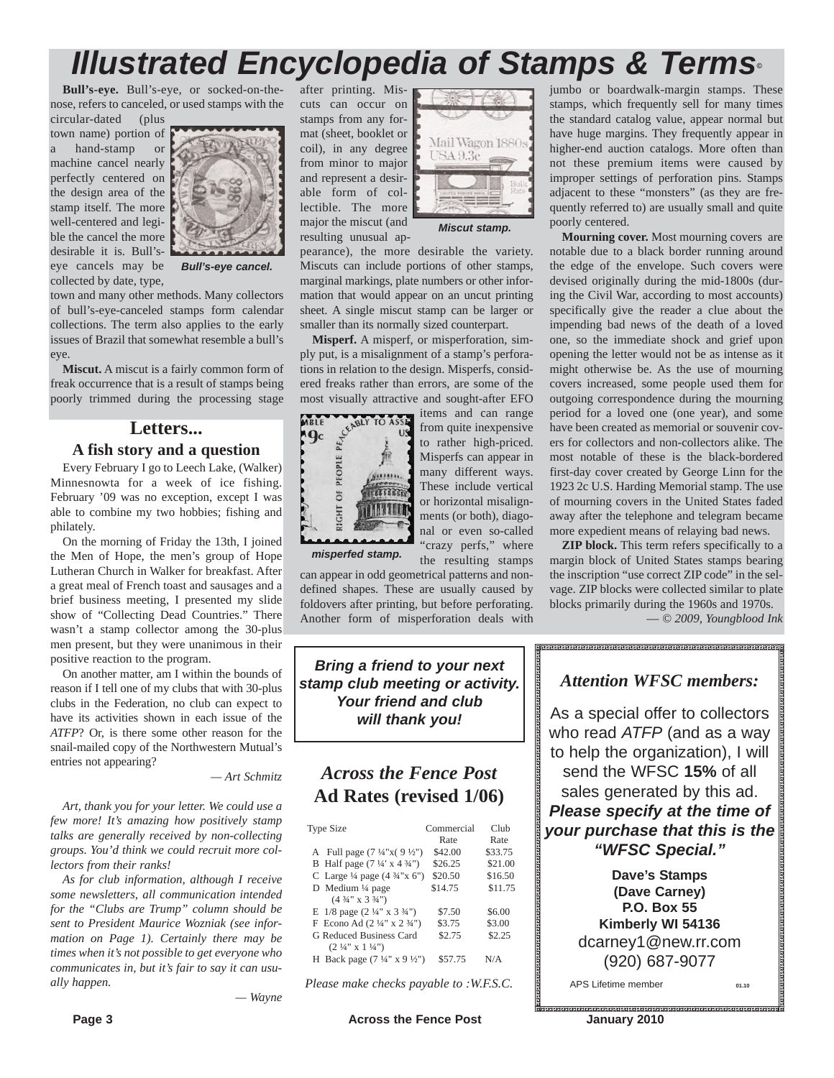# after printing. Mis-*Illustrated Encyclopedia of Stamps & Terms©*

cuts can occur on stamps from any format (sheet, booklet or

from minor to major and represent a desirable form of collectible. The more major the miscut (and resulting unusual ap-

**Bull's-eye.** Bull's-eye, or socked-on-thenose, refers to canceled, or used stamps with the circular-dated (plus

town name) portion of a hand-stamp or machine cancel nearly perfectly centered on the design area of the stamp itself. The more well-centered and legible the cancel the more desirable it is. Bull'seye cancels may be collected by date, type,



*Bull's-eye cancel.*

town and many other methods. Many collectors of bull's-eye-canceled stamps form calendar collections. The term also applies to the early issues of Brazil that somewhat resemble a bull's eye.

**Miscut.** A miscut is a fairly common form of freak occurrence that is a result of stamps being poorly trimmed during the processing stage

# **Letters...**

#### **A fish story and a question**

Every February I go to Leech Lake, (Walker) Minnesnowta for a week of ice fishing. February '09 was no exception, except I was able to combine my two hobbies; fishing and philately.

On the morning of Friday the 13th, I joined the Men of Hope, the men's group of Hope Lutheran Church in Walker for breakfast. After a great meal of French toast and sausages and a brief business meeting, I presented my slide show of "Collecting Dead Countries." There wasn't a stamp collector among the 30-plus men present, but they were unanimous in their positive reaction to the program.

On another matter, am I within the bounds of reason if I tell one of my clubs that with 30-plus clubs in the Federation, no club can expect to have its activities shown in each issue of the *ATFP*? Or, is there some other reason for the snail-mailed copy of the Northwestern Mutual's entries not appearing?

*— Art Schmitz*

*Art, thank you for your letter. We could use a few more! It's amazing how positively stamp talks are generally received by non-collecting groups. You'd think we could recruit more collectors from their ranks!*

*As for club information, although I receive some newsletters, all communication intended for the "Clubs are Trump" column should be sent to President Maurice Wozniak (see information on Page 1). Certainly there may be times when it's not possible to get everyone who communicates in, but it's fair to say it can usually happen.*

*— Wayne*

Mail Wagon 1886 coil), in any degree USA 9.3c

*Miscut stamp.*

pearance), the more desirable the variety. Miscuts can include portions of other stamps, marginal markings, plate numbers or other information that would appear on an uncut printing sheet. A single miscut stamp can be larger or smaller than its normally sized counterpart.

**Misperf.** A misperf, or misperforation, simply put, is a misalignment of a stamp's perforations in relation to the design. Misperfs, considered freaks rather than errors, are some of the



most visually attractive and sought-after EFO<br> **MBLE**<br>  $\frac{64 \text{ NbV}}{100 \text{ kg}}$  from quite inexpensive items and can range from quite inexpensive to rather high-priced. Misperfs can appear in many different ways. These include vertical or horizontal misalignments (or both), diagonal or even so-called "crazy perfs," where the resulting stamps

*misperfed stamp.*

can appear in odd geometrical patterns and nondefined shapes. These are usually caused by foldovers after printing, but before perforating. Another form of misperforation deals with

*Bring a friend to your next stamp club meeting or activity. Your friend and club will thank you!*

# *Across the Fence Post* **Ad Rates (revised 1/06)**

| <b>Type Size</b>                                   | Commercial<br>Rate | $Cl$ ub<br>Rate |
|----------------------------------------------------|--------------------|-----------------|
| A Full page $(7\frac{1}{4}x(9\frac{1}{2}y))$       | \$42.00            | \$33.75         |
| B Half page $(7\frac{1}{4} \times 4\frac{3}{4})$   | \$26.25            | \$21.00         |
| C Large $\frac{1}{4}$ page $(4 \frac{3}{4} x 6'')$ | \$20.50            | \$16.50         |
| D Medium $\frac{1}{4}$ page                        | \$14.75            | \$11.75         |
| $(4\frac{3}{4}$ " x 3 $\frac{3}{4}$ ")             |                    |                 |
| E $1/8$ page $(2\frac{1}{4}$ " x $3\frac{3}{4}$ ") | \$7.50             | \$6.00          |
| F Econo Ad $(2\frac{1}{4}$ " x $2\frac{3}{4}$ ")   | \$3.75             | \$3.00          |
| <b>G Reduced Business Card</b>                     | \$2.75             | \$2.25          |
| H Back page $(7\frac{1}{4}$ " x 9 $\frac{1}{2}$ ") | \$57.75            | N/A             |
| $(2 \frac{1}{4}$ " x 1 $\frac{1}{4}$ ")            |                    |                 |

*Please make checks payable to :W.F.S.C.*

jumbo or boardwalk-margin stamps. These stamps, which frequently sell for many times the standard catalog value, appear normal but have huge margins. They frequently appear in higher-end auction catalogs. More often than not these premium items were caused by improper settings of perforation pins. Stamps adjacent to these "monsters" (as they are frequently referred to) are usually small and quite poorly centered.

**Mourning cover.** Most mourning covers are notable due to a black border running around the edge of the envelope. Such covers were devised originally during the mid-1800s (during the Civil War, according to most accounts) specifically give the reader a clue about the impending bad news of the death of a loved one, so the immediate shock and grief upon opening the letter would not be as intense as it might otherwise be. As the use of mourning covers increased, some people used them for outgoing correspondence during the mourning period for a loved one (one year), and some have been created as memorial or souvenir covers for collectors and non-collectors alike. The most notable of these is the black-bordered first-day cover created by George Linn for the 1923 2c U.S. Harding Memorial stamp. The use of mourning covers in the United States faded away after the telephone and telegram became more expedient means of relaying bad news.

**ZIP block.** This term refers specifically to a margin block of United States stamps bearing the inscription "use correct ZIP code" in the selvage. ZIP blocks were collected similar to plate blocks primarily during the 1960s and 1970s. — *© 2009, Youngblood Ink*

# *Attention WFSC members:*

As a special offer to collectors who read *ATFP* (and as a way to help the organization), I will send the WFSC **15%** of all sales generated by this ad. *Please specify at the time of your purchase that this is the "WFSC Special."*

> **Dave's Stamps (Dave Carney) P.O. Box 55 Kimberly WI 54136** dcarney1@new.rr.com (920) 687-9077

APS Lifetime member **01.10**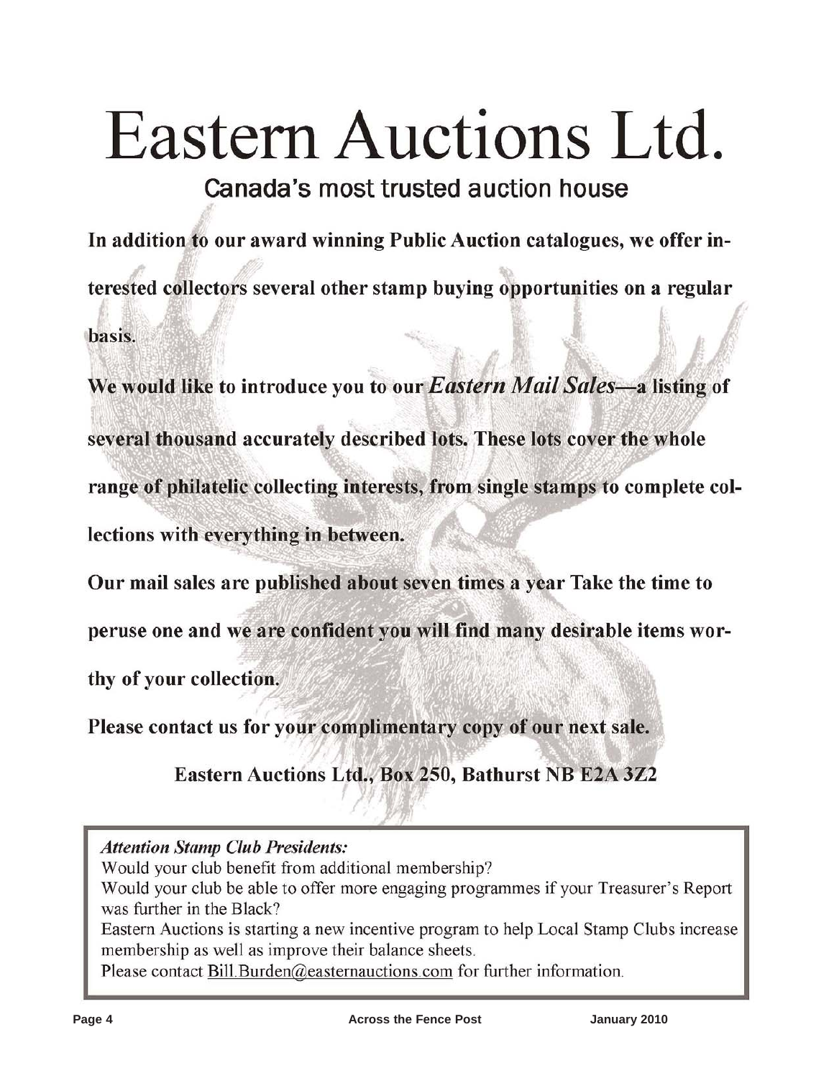# Eastern Auctions Ltd.

Canada's most trusted auction house

In addition to our award winning Public Auction catalogues, we offer interested collectors several other stamp buying opportunities on a regular basis.

We would like to introduce you to our Eastern Mail Sales-a listing of several thousand accurately described lots. These lots cover the whole range of philatelic collecting interests, from single stamps to complete collections with everything in between.

Our mail sales are published about seven times a year Take the time to

peruse one and we are confident you will find many desirable items wor-

thy of your collection.

Please contact us for your complimentary copy of our next sale.

Eastern Auctions Ltd., Box 250, Bathurst NB E2A 3Z2

**Attention Stamp Club Presidents:** 

Would your club benefit from additional membership?

Would your club be able to offer more engaging programmes if your Treasurer's Report was further in the Black?

Eastern Auctions is starting a new incentive program to help Local Stamp Clubs increase membership as well as improve their balance sheets.

Please contact Bill Burden@easternauctions.com for further information.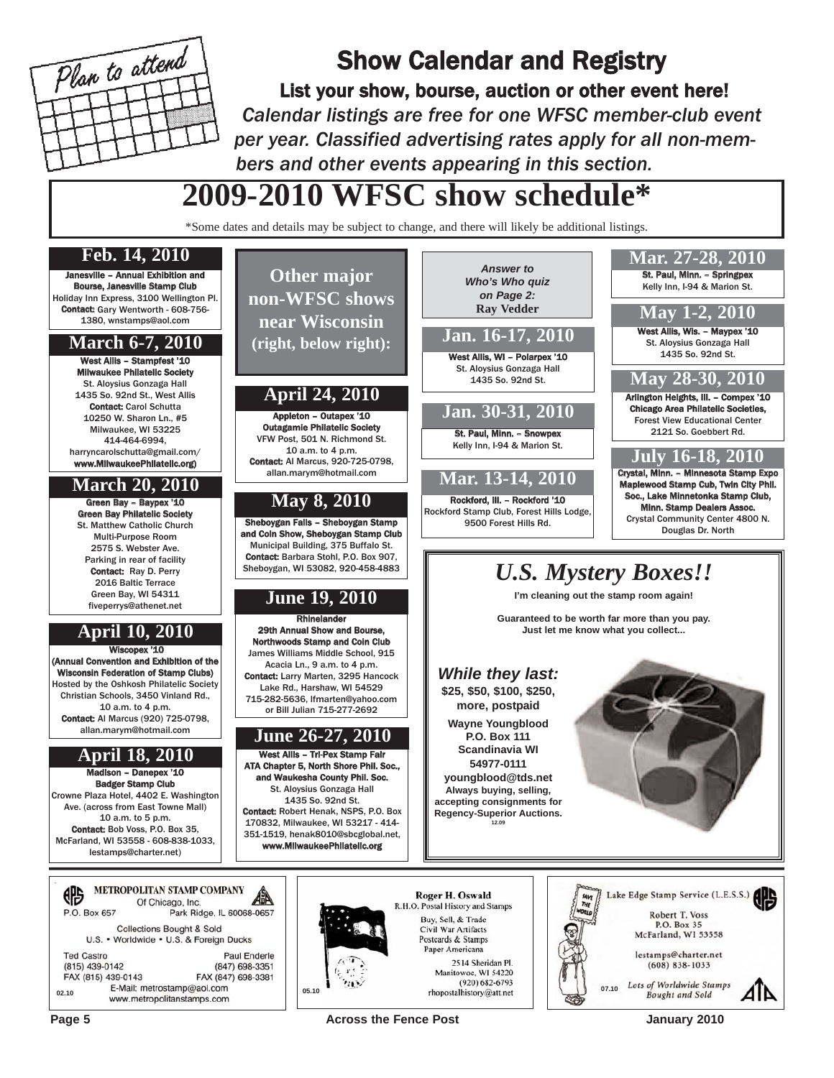

# Show Calendar and Registry

List your show, bourse, auction or other event here! *Calendar listings are free for one WFSC member-club event per year. Classified advertising rates apply for all non-members and other events appearing in this section.*

West Allis, WI - Polarpex '10

**Jan. 16-17, 2010**

*Answer to Who's Who quiz on Page 2:* **Ray Vedder**

# **2009-2010 WFSC show schedule\***

\*Some dates and details may be subject to change, and there will likely be additional listings.

**Other major non-WFSC shows near Wisconsin (right, below right):**

## **Feb. 14, 2010**

Janesville – Annual Exhibition and Bourse, Janesville Stamp Club Holiday Inn Express, 3100 Wellington Pl. Contact: Gary Wentworth - 608-756- 1380, wnstamps@aol.com

### **March 6-7, 2010**

West Allis – Stampfest '10 Milwaukee Philatelic Society St. Aloysius Gonzaga Hall 1435 So. 92nd St., West Allis Contact: Carol Schutta 10250 W. Sharon Ln., #5 Milwaukee, WI 53225 414-464-6994, harryncarolschutta@gmail.com/ www.MilwaukeePhilatelic.org)

# **March 20, 2010**

Green Bay – Baypex '10 Green Bay Philatelic Society St. Matthew Catholic Church Multi-Purpose Room 2575 S. Webster Ave. Parking in rear of facility Contact: Ray D. Perry 2016 Baltic Terrace Green Bay, WI 54311 fiveperrys@athenet.net

# **April 10, 2010**

Wiscopex '10 (Annual Convention and Exhibition of the Wisconsin Federation of Stamp Clubs) Hosted by the Oshkosh Philatelic Society Christian Schools, 3450 Vinland Rd., 10 a.m. to 4 p.m. Contact: Al Marcus (920) 725-0798, allan.marym@hotmail.com

# **April 18, 2010**

Madison – Danepex '10 Badger Stamp Club Crowne Plaza Hotel, 4402 E. Washington Ave. (across from East Towne Mall) 10 a.m. to 5 p.m. Contact: Bob Voss, P.O. Box 35, McFarland, WI 53558 - 608-838-1033, lestamps@charter.net)

#### St. Aloysius Gonzaga Hall **May 28-30, 2010** 1435 So. 92nd St. **April 24, 2010** Arlington Heights, Ill. – Compex '10 Chicago Area Philatelic Societies, **Jan. 30-31, 2010** Appleton – Outapex '10 Outagamie Philatelic Society St. Paul, Minn. – Snowpex VFW Post, 501 N. Richmond St. Kelly Inn, I-94 & Marion St. 10 a.m. to 4 p.m. **July 16-18, 2010** Contact: Al Marcus, 920-725-0798, Crystal, Minn. – Minnesota Stamp Expo allan.marym@hotmail.com **Mar. 13-14, 2010** Soc., Lake Minnetonka Stamp Club, **May 8, 2010** Rockford, Ill. – Rockford '10 Rockford Stamp Club, Forest Hills Lodge, Crystal Community Center 4800 N. Sheboygan Falls – Sheboygan Stamp 9500 Forest Hills Rd. and Coin Show, Sheboygan Stamp Club Municipal Building, 375 Buffalo St. Contact: Barbara Stohl, P.O. Box 907, Sheboygan, WI 53082, 920-458-4883 *U.S. Mystery Boxes!!* **I'm cleaning out the stamp room again! June 19, 2010 Rhinelander** 29th Annual Show and Bours Northwoods Stamp and Coin Club James Williams Middle School, 915 Acacia Ln., 9 a.m. to 4 p.m. *While they last:* Contact: Larry Marten, 3295 Hancock Lake Rd., Harshaw, WI 54529 **\$25, \$50, \$100, \$250,** 715-282-5636, lfmarten@yahoo.com **more, postpaid** or Bill Julian 715-277-2692 **Wayne Youngblood June 26-27, 2010 P.O. Box 111 Scandinavia WI** West Allis – Tri-Pex Stamp Fair **54977-0111** ATA Chapter 5, North Shore Phil. Soc., and Waukesha County Phil. Soc. **youngblood@tds.net** St. Aloysius Gonzaga Hall **Always buying, selling,** 1435 So. 92nd St. **accepting consignments for** Contact: Robert Henak, NSPS, P.O. Box **Regency-Superior Auctions.** 170832, Milwaukee, WI 53217 - 414- **12.09** 351-1519, henak8010@sbcglobal.net, www.MilwaukeePhilatelic.org Lake Edge Stamp Service (L.E.S.S.) **Roger H. Oswald** R.H.O. Postal History and Stamps Buy, Sell, & Trade Civil War Artifacts Postcards & Stamps

**Guaranteed to be worth far more than you pay. Just let me know what you collect...**



St. Paul, Minn. – Springpex Kelly Inn, I-94 & Marion St.

**Mar. 27-28, 2010**

West Allis, Wis. - Maypex '10 St. Aloysius Gonzaga Hall 1435 So. 92nd St.

**May 1-2, 2010**

Forest View Educational Center 2121 So. Goebbert Rd.

**Make Stamp Cub, Twin City Phil.** 

Minn. Stamp Dealers Assoc.

Douglas Dr. North

|                    | <b>METROPOLITAN STAMP COMPANY</b><br>Of Chicago, Inc.    |
|--------------------|----------------------------------------------------------|
| P.O. Box 657       | Park Ridge, IL 60068-0657                                |
|                    | <b>Collections Bought &amp; Sold</b>                     |
|                    | U.S. • Worldwide • U.S. & Foreign Ducks                  |
| <b>Ted Castro</b>  | Paul Enderle                                             |
| (815) 439-0142     | (847) 698-3351                                           |
| FAX (815) 439-0143 | FAX (847) 698-3381                                       |
| 02.10              | E-Mail: metrostamp@aol.com<br>www.metropolitanstamps.com |

Paper Americana Manitowoc, WI 54220 **05.10 1 02.10 02.201952-07.10 c**<br>**107.10 of the postalhistory@att.net** 

Page 5 **Across the Fence Post** Across the Fence Post Across the Tense Across the Fence Post Across 10 Across 10

2514 Sheridan Pl.

(920) 682-6793

AIP

Robert T. Voss

P.O. Box 35

McFarland, WI 53558

lestamps@charter.net

 $(608) 838 - 1033$ 

Lots of Worldwide Stamps **Bought** and Sold